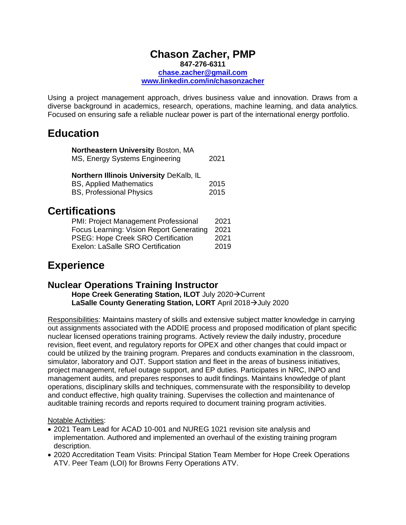#### **Chason Zacher, PMP 847-276-6311 [chase.zacher@gmail.com](mailto:chase.zacher@gmail.com) www.linkedin.com/in/chasonzacher**

Using a project management approach, drives business value and innovation. Draws from a diverse background in academics, research, operations, machine learning, and data analytics. Focused on ensuring safe a reliable nuclear power is part of the international energy portfolio.

## **Education**

| Northeastern University Boston, MA<br>MS, Energy Systems Engineering                                         | 2021         |
|--------------------------------------------------------------------------------------------------------------|--------------|
| Northern Illinois University DeKalb, IL<br><b>BS, Applied Mathematics</b><br><b>BS, Professional Physics</b> | 2015<br>2015 |

# **Certifications**

| PMI: Project Management Professional      | 2021 |
|-------------------------------------------|------|
| Focus Learning: Vision Report Generating  | 2021 |
| <b>PSEG: Hope Creek SRO Certification</b> | 2021 |
| <b>Exelon: LaSalle SRO Certification</b>  | 2019 |
|                                           |      |

# **Experience**

### **Nuclear Operations Training Instructor**

**Hope Creek Generating Station, ILOT** July 2020→Current **LaSalle County Generating Station, LORT** April 2018→July 2020

Responsibilities: Maintains mastery of skills and extensive subject matter knowledge in carrying out assignments associated with the ADDIE process and proposed modification of plant specific nuclear licensed operations training programs. Actively review the daily industry, procedure revision, fleet event, and regulatory reports for OPEX and other changes that could impact or could be utilized by the training program. Prepares and conducts examination in the classroom, simulator, laboratory and OJT. Support station and fleet in the areas of business initiatives, project management, refuel outage support, and EP duties. Participates in NRC, INPO and management audits, and prepares responses to audit findings. Maintains knowledge of plant operations, disciplinary skills and techniques, commensurate with the responsibility to develop and conduct effective, high quality training. Supervises the collection and maintenance of auditable training records and reports required to document training program activities.

#### Notable Activities:

- 2021 Team Lead for ACAD 10-001 and NUREG 1021 revision site analysis and implementation. Authored and implemented an overhaul of the existing training program description.
- 2020 Accreditation Team Visits: Principal Station Team Member for Hope Creek Operations ATV. Peer Team (LOI) for Browns Ferry Operations ATV.